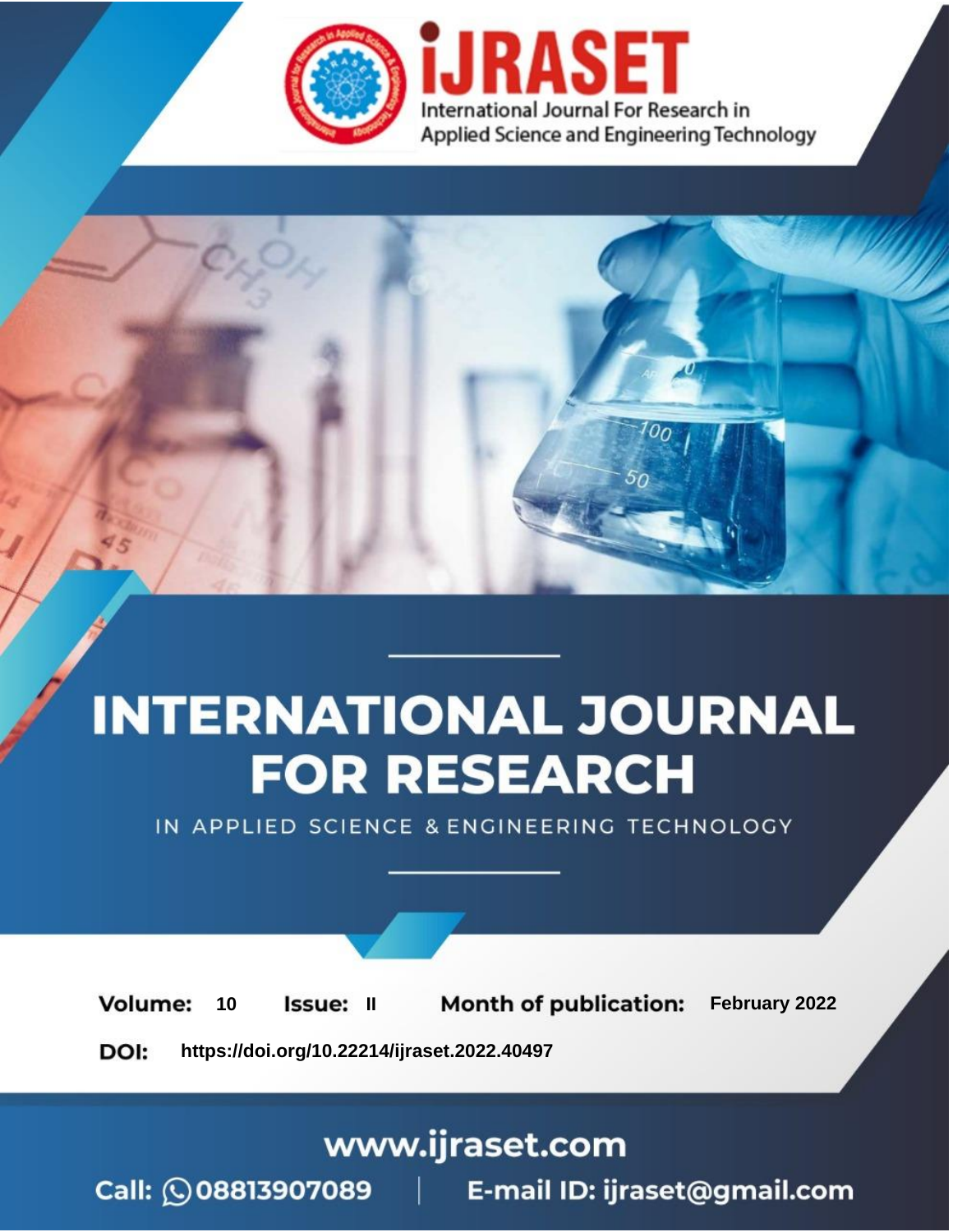

# **INTERNATIONAL JOURNAL FOR RESEARCH**

IN APPLIED SCIENCE & ENGINEERING TECHNOLOGY

**Month of publication:** February 2022 **Volume:** 10 **Issue: II** DOI: https://doi.org/10.22214/ijraset.2022.40497

www.ijraset.com

 $Call: \bigcirc$ 08813907089 E-mail ID: ijraset@gmail.com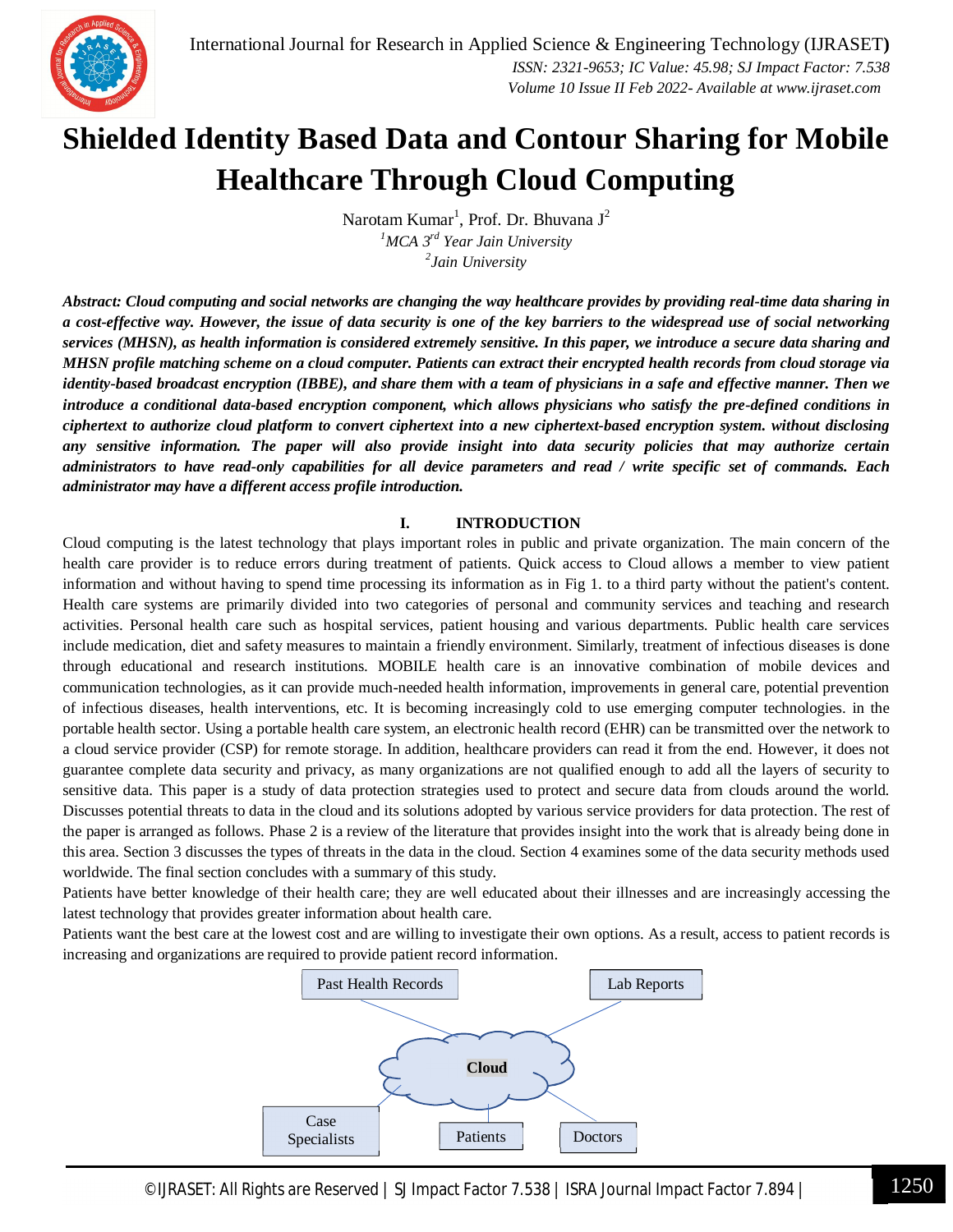

# **Shielded Identity Based Data and Contour Sharing for Mobile Healthcare Through Cloud Computing**

Narotam Kumar<sup>1</sup>, Prof. Dr. Bhuvana J<sup>2</sup> *<sup>1</sup>MCA 3rd Year Jain University 2 Jain University*

*Abstract: Cloud computing and social networks are changing the way healthcare provides by providing real-time data sharing in a cost-effective way. However, the issue of data security is one of the key barriers to the widespread use of social networking services (MHSN), as health information is considered extremely sensitive. In this paper, we introduce a secure data sharing and MHSN profile matching scheme on a cloud computer. Patients can extract their encrypted health records from cloud storage via identity-based broadcast encryption (IBBE), and share them with a team of physicians in a safe and effective manner. Then we introduce a conditional data-based encryption component, which allows physicians who satisfy the pre-defined conditions in ciphertext to authorize cloud platform to convert ciphertext into a new ciphertext-based encryption system. without disclosing any sensitive information. The paper will also provide insight into data security policies that may authorize certain administrators to have read-only capabilities for all device parameters and read / write specific set of commands. Each administrator may have a different access profile introduction.*

# **I. INTRODUCTION**

Cloud computing is the latest technology that plays important roles in public and private organization. The main concern of the health care provider is to reduce errors during treatment of patients. Quick access to Cloud allows a member to view patient information and without having to spend time processing its information as in Fig 1. to a third party without the patient's content. Health care systems are primarily divided into two categories of personal and community services and teaching and research activities. Personal health care such as hospital services, patient housing and various departments. Public health care services include medication, diet and safety measures to maintain a friendly environment. Similarly, treatment of infectious diseases is done through educational and research institutions. MOBILE health care is an innovative combination of mobile devices and communication technologies, as it can provide much-needed health information, improvements in general care, potential prevention of infectious diseases, health interventions, etc. It is becoming increasingly cold to use emerging computer technologies. in the portable health sector. Using a portable health care system, an electronic health record (EHR) can be transmitted over the network to a cloud service provider (CSP) for remote storage. In addition, healthcare providers can read it from the end. However, it does not guarantee complete data security and privacy, as many organizations are not qualified enough to add all the layers of security to sensitive data. This paper is a study of data protection strategies used to protect and secure data from clouds around the world. Discusses potential threats to data in the cloud and its solutions adopted by various service providers for data protection. The rest of the paper is arranged as follows. Phase 2 is a review of the literature that provides insight into the work that is already being done in this area. Section 3 discusses the types of threats in the data in the cloud. Section 4 examines some of the data security methods used worldwide. The final section concludes with a summary of this study.

Patients have better knowledge of their health care; they are well educated about their illnesses and are increasingly accessing the latest technology that provides greater information about health care.

Patients want the best care at the lowest cost and are willing to investigate their own options. As a result, access to patient records is increasing and organizations are required to provide patient record information.

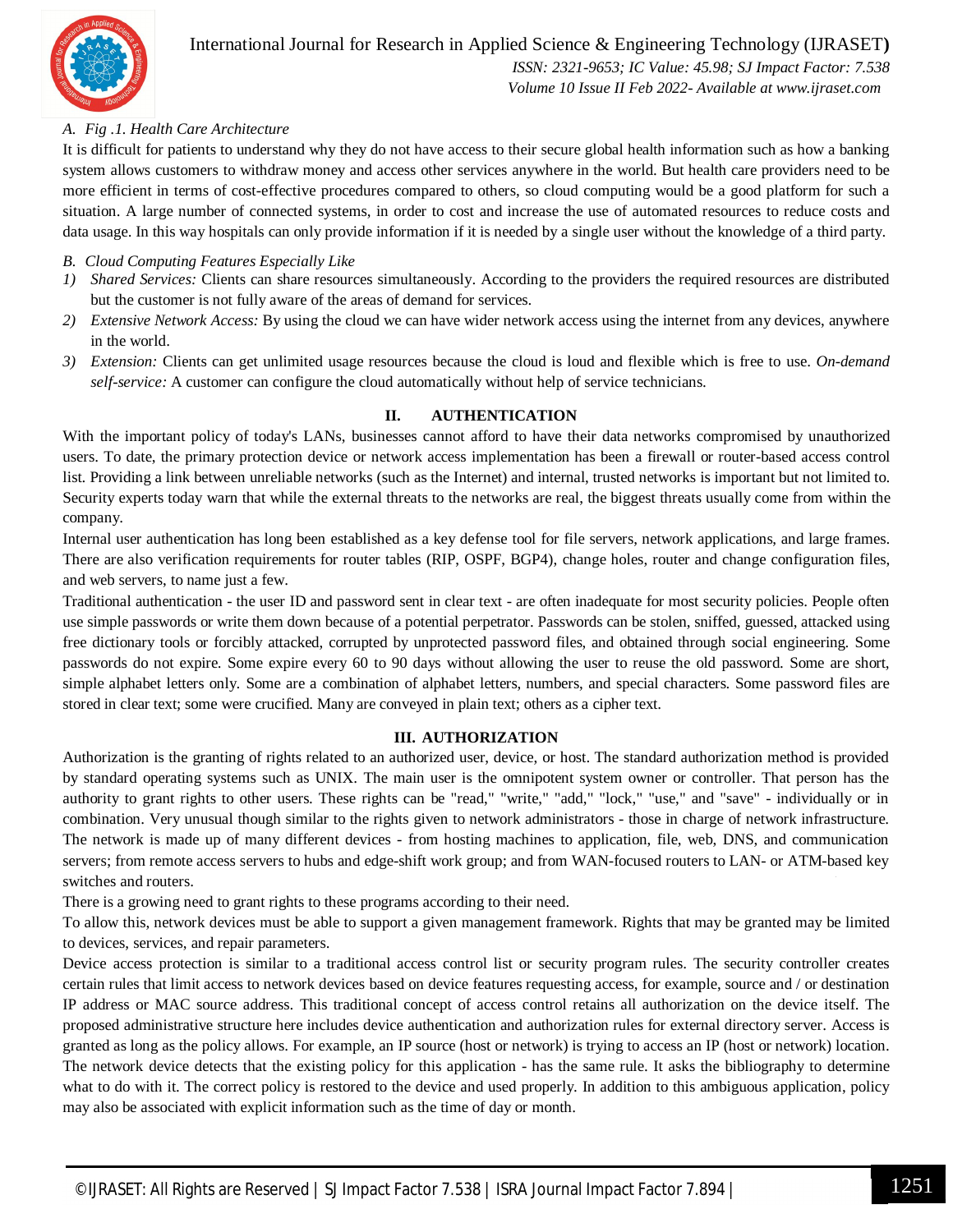

# International Journal for Research in Applied Science & Engineering Technology (IJRASET**)**

 *ISSN: 2321-9653; IC Value: 45.98; SJ Impact Factor: 7.538 Volume 10 Issue II Feb 2022- Available at www.ijraset.com*

# *A. Fig .1. Health Care Architecture*

It is difficult for patients to understand why they do not have access to their secure global health information such as how a banking system allows customers to withdraw money and access other services anywhere in the world. But health care providers need to be more efficient in terms of cost-effective procedures compared to others, so cloud computing would be a good platform for such a situation. A large number of connected systems, in order to cost and increase the use of automated resources to reduce costs and data usage. In this way hospitals can only provide information if it is needed by a single user without the knowledge of a third party.

## *B. Cloud Computing Features Especially Like*

- *1) Shared Services:* Clients can share resources simultaneously. According to the providers the required resources are distributed but the customer is not fully aware of the areas of demand for services.
- *2) Extensive Network Access:* By using the cloud we can have wider network access using the internet from any devices, anywhere in the world.
- *3) Extension:* Clients can get unlimited usage resources because the cloud is loud and flexible which is free to use. *On-demand self-service:* A customer can configure the cloud automatically without help of service technicians.

# **II. AUTHENTICATION**

With the important policy of today's LANs, businesses cannot afford to have their data networks compromised by unauthorized users. To date, the primary protection device or network access implementation has been a firewall or router-based access control list. Providing a link between unreliable networks (such as the Internet) and internal, trusted networks is important but not limited to. Security experts today warn that while the external threats to the networks are real, the biggest threats usually come from within the company.

Internal user authentication has long been established as a key defense tool for file servers, network applications, and large frames. There are also verification requirements for router tables (RIP, OSPF, BGP4), change holes, router and change configuration files, and web servers, to name just a few.

Traditional authentication - the user ID and password sent in clear text - are often inadequate for most security policies. People often use simple passwords or write them down because of a potential perpetrator. Passwords can be stolen, sniffed, guessed, attacked using free dictionary tools or forcibly attacked, corrupted by unprotected password files, and obtained through social engineering. Some passwords do not expire. Some expire every 60 to 90 days without allowing the user to reuse the old password. Some are short, simple alphabet letters only. Some are a combination of alphabet letters, numbers, and special characters. Some password files are stored in clear text; some were crucified. Many are conveyed in plain text; others as a cipher text.

#### **III. AUTHORIZATION**

Authorization is the granting of rights related to an authorized user, device, or host. The standard authorization method is provided by standard operating systems such as UNIX. The main user is the omnipotent system owner or controller. That person has the authority to grant rights to other users. These rights can be "read," "write," "add," "lock," "use," and "save" - individually or in combination. Very unusual though similar to the rights given to network administrators - those in charge of network infrastructure. The network is made up of many different devices - from hosting machines to application, file, web, DNS, and communication servers; from remote access servers to hubs and edge-shift work group; and from WAN-focused routers to LAN- or ATM-based key switches and routers.

There is a growing need to grant rights to these programs according to their need.

To allow this, network devices must be able to support a given management framework. Rights that may be granted may be limited to devices, services, and repair parameters.

Device access protection is similar to a traditional access control list or security program rules. The security controller creates certain rules that limit access to network devices based on device features requesting access, for example, source and / or destination IP address or MAC source address. This traditional concept of access control retains all authorization on the device itself. The proposed administrative structure here includes device authentication and authorization rules for external directory server. Access is granted as long as the policy allows. For example, an IP source (host or network) is trying to access an IP (host or network) location. The network device detects that the existing policy for this application - has the same rule. It asks the bibliography to determine what to do with it. The correct policy is restored to the device and used properly. In addition to this ambiguous application, policy may also be associated with explicit information such as the time of day or month.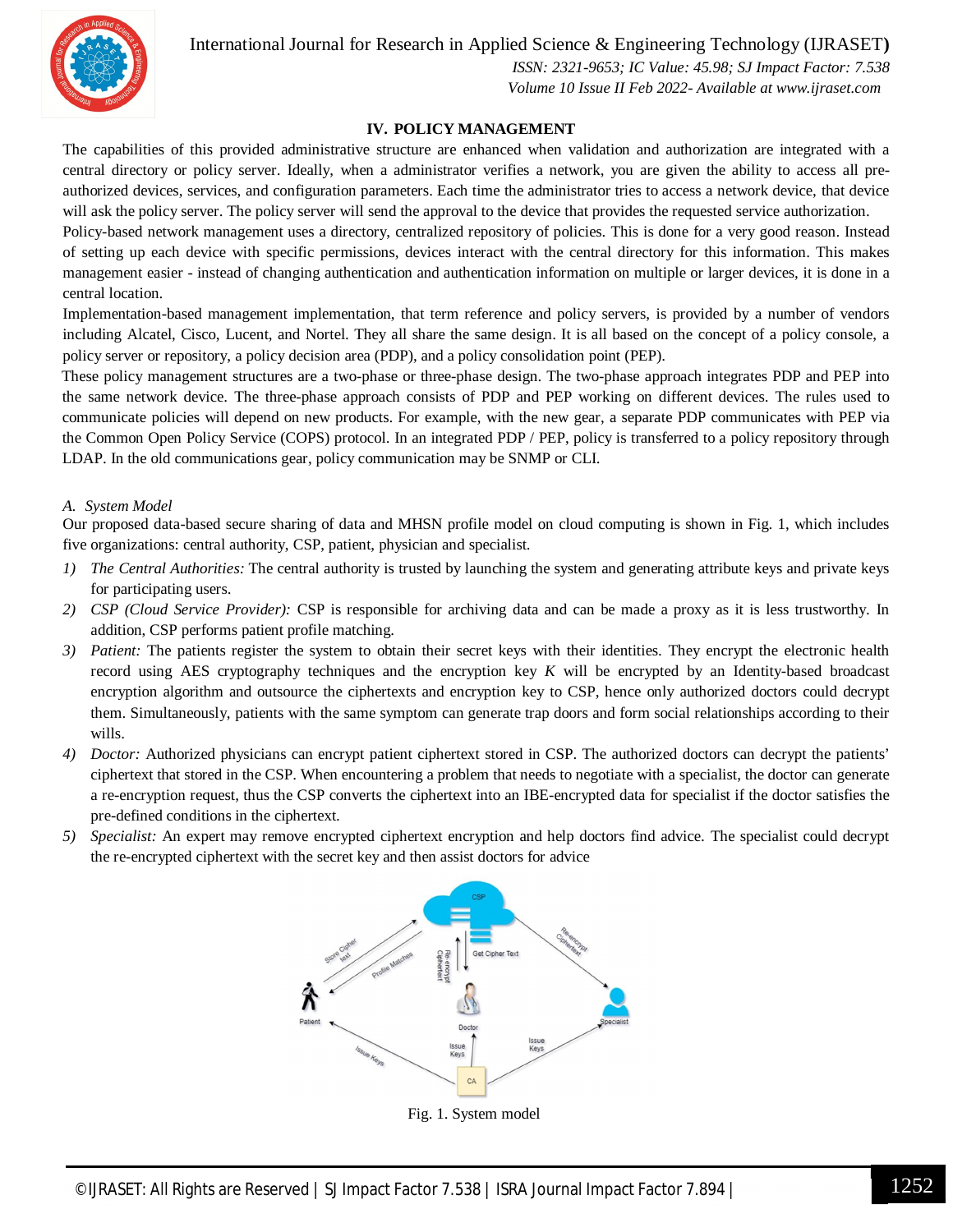

# International Journal for Research in Applied Science & Engineering Technology (IJRASET**)**

 *ISSN: 2321-9653; IC Value: 45.98; SJ Impact Factor: 7.538 Volume 10 Issue II Feb 2022- Available at www.ijraset.com*

### **IV. POLICY MANAGEMENT**

The capabilities of this provided administrative structure are enhanced when validation and authorization are integrated with a central directory or policy server. Ideally, when a administrator verifies a network, you are given the ability to access all preauthorized devices, services, and configuration parameters. Each time the administrator tries to access a network device, that device will ask the policy server. The policy server will send the approval to the device that provides the requested service authorization.

Policy-based network management uses a directory, centralized repository of policies. This is done for a very good reason. Instead of setting up each device with specific permissions, devices interact with the central directory for this information. This makes management easier - instead of changing authentication and authentication information on multiple or larger devices, it is done in a central location.

Implementation-based management implementation, that term reference and policy servers, is provided by a number of vendors including Alcatel, Cisco, Lucent, and Nortel. They all share the same design. It is all based on the concept of a policy console, a policy server or repository, a policy decision area (PDP), and a policy consolidation point (PEP).

These policy management structures are a two-phase or three-phase design. The two-phase approach integrates PDP and PEP into the same network device. The three-phase approach consists of PDP and PEP working on different devices. The rules used to communicate policies will depend on new products. For example, with the new gear, a separate PDP communicates with PEP via the Common Open Policy Service (COPS) protocol. In an integrated PDP / PEP, policy is transferred to a policy repository through LDAP. In the old communications gear, policy communication may be SNMP or CLI.

#### *A. System Model*

Our proposed data-based secure sharing of data and MHSN profile model on cloud computing is shown in Fig. 1, which includes five organizations: central authority, CSP, patient, physician and specialist.

- *1) The Central Authorities:* The central authority is trusted by launching the system and generating attribute keys and private keys for participating users.
- *2) CSP (Cloud Service Provider):* CSP is responsible for archiving data and can be made a proxy as it is less trustworthy. In addition, CSP performs patient profile matching.
- *3) Patient:* The patients register the system to obtain their secret keys with their identities. They encrypt the electronic health record using AES cryptography techniques and the encryption key *K* will be encrypted by an Identity-based broadcast encryption algorithm and outsource the ciphertexts and encryption key to CSP, hence only authorized doctors could decrypt them. Simultaneously, patients with the same symptom can generate trap doors and form social relationships according to their wills.
- *4) Doctor:* Authorized physicians can encrypt patient ciphertext stored in CSP. The authorized doctors can decrypt the patients' ciphertext that stored in the CSP. When encountering a problem that needs to negotiate with a specialist, the doctor can generate a re-encryption request, thus the CSP converts the ciphertext into an IBE-encrypted data for specialist if the doctor satisfies the pre-defined conditions in the ciphertext.
- *5) Specialist:* An expert may remove encrypted ciphertext encryption and help doctors find advice. The specialist could decrypt the re-encrypted ciphertext with the secret key and then assist doctors for advice



Fig. 1. System model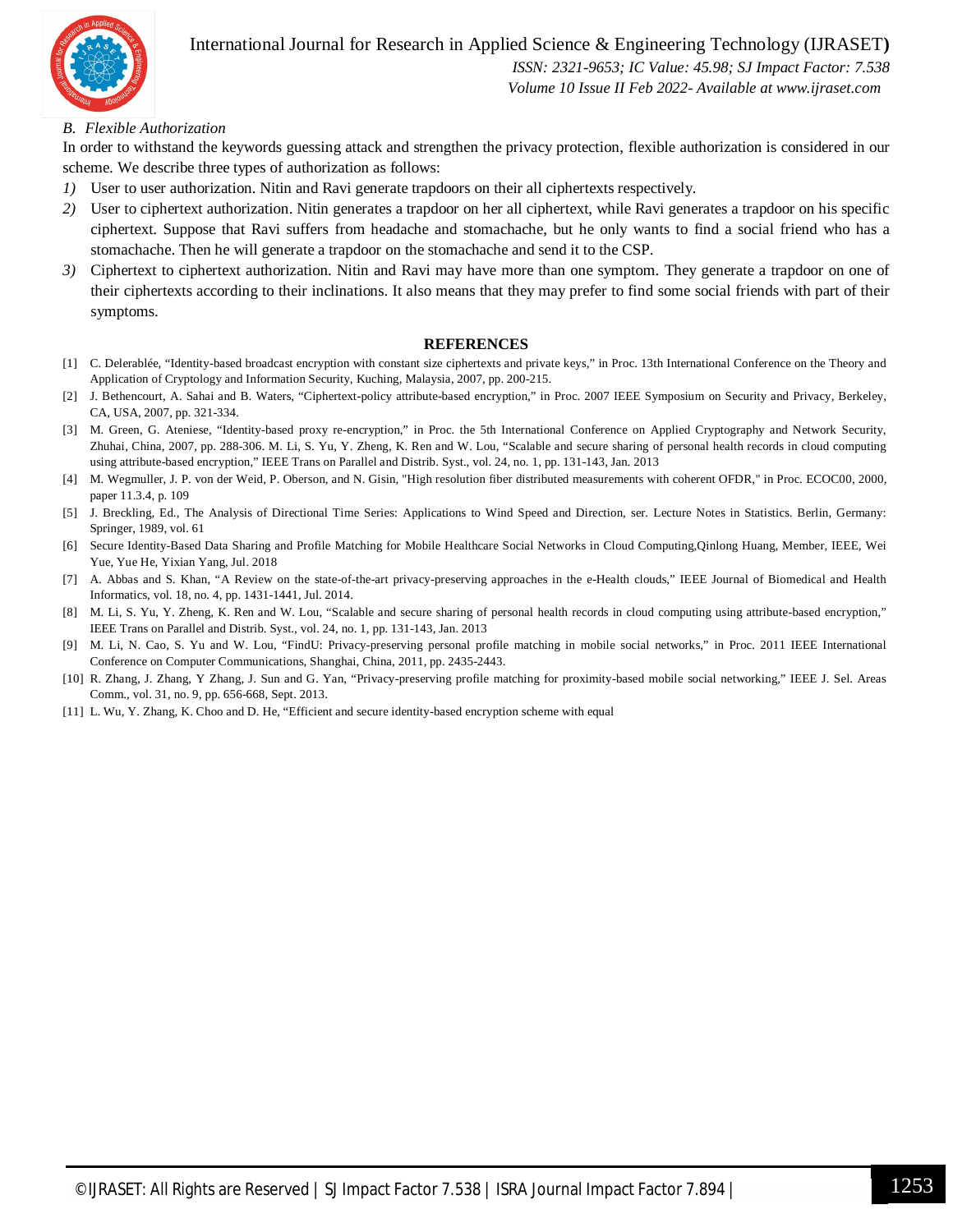

# International Journal for Research in Applied Science & Engineering Technology (IJRASET**)**

 *ISSN: 2321-9653; IC Value: 45.98; SJ Impact Factor: 7.538 Volume 10 Issue II Feb 2022- Available at www.ijraset.com*

### *B. Flexible Authorization*

In order to withstand the keywords guessing attack and strengthen the privacy protection, flexible authorization is considered in our scheme. We describe three types of authorization as follows:

- *1)* User to user authorization. Nitin and Ravi generate trapdoors on their all ciphertexts respectively.
- *2)* User to ciphertext authorization. Nitin generates a trapdoor on her all ciphertext, while Ravi generates a trapdoor on his specific ciphertext. Suppose that Ravi suffers from headache and stomachache, but he only wants to find a social friend who has a stomachache. Then he will generate a trapdoor on the stomachache and send it to the CSP.
- *3)* Ciphertext to ciphertext authorization. Nitin and Ravi may have more than one symptom. They generate a trapdoor on one of their ciphertexts according to their inclinations. It also means that they may prefer to find some social friends with part of their symptoms.

#### **REFERENCES**

- [1] C. Delerablée, "Identity-based broadcast encryption with constant size ciphertexts and private keys," in Proc. 13th International Conference on the Theory and Application of Cryptology and Information Security, Kuching, Malaysia, 2007, pp. 200-215.
- [2] J. Bethencourt, A. Sahai and B. Waters, "Ciphertext-policy attribute-based encryption," in Proc. 2007 IEEE Symposium on Security and Privacy, Berkeley, CA, USA, 2007, pp. 321-334.
- [3] M. Green, G. Ateniese, "Identity-based proxy re-encryption," in Proc. the 5th International Conference on Applied Cryptography and Network Security, Zhuhai, China, 2007, pp. 288-306. M. Li, S. Yu, Y. Zheng, K. Ren and W. Lou, "Scalable and secure sharing of personal health records in cloud computing using attribute-based encryption," IEEE Trans on Parallel and Distrib. Syst., vol. 24, no. 1, pp. 131-143, Jan. 2013
- [4] M. Wegmuller, J. P. von der Weid, P. Oberson, and N. Gisin, "High resolution fiber distributed measurements with coherent OFDR," in Proc. ECOC00, 2000, paper 11.3.4, p. 109
- [5] J. Breckling, Ed., The Analysis of Directional Time Series: Applications to Wind Speed and Direction, ser. Lecture Notes in Statistics. Berlin, Germany: Springer, 1989, vol. 61
- [6] Secure Identity-Based Data Sharing and Profile Matching for Mobile Healthcare Social Networks in Cloud Computing,Qinlong Huang, Member, IEEE, Wei Yue, Yue He, Yixian Yang, Jul. 2018
- [7] A. Abbas and S. Khan, "A Review on the state-of-the-art privacy-preserving approaches in the e-Health clouds," IEEE Journal of Biomedical and Health Informatics, vol. 18, no. 4, pp. 1431-1441, Jul. 2014.
- [8] M. Li, S. Yu, Y. Zheng, K. Ren and W. Lou, "Scalable and secure sharing of personal health records in cloud computing using attribute-based encryption," IEEE Trans on Parallel and Distrib. Syst., vol. 24, no. 1, pp. 131-143, Jan. 2013
- [9] M. Li, N. Cao, S. Yu and W. Lou, "FindU: Privacy-preserving personal profile matching in mobile social networks," in Proc. 2011 IEEE International Conference on Computer Communications, Shanghai, China, 2011, pp. 2435-2443.
- [10] R. Zhang, J. Zhang, Y Zhang, J. Sun and G. Yan, "Privacy-preserving profile matching for proximity-based mobile social networking," IEEE J. Sel. Areas Comm., vol. 31, no. 9, pp. 656-668, Sept. 2013.
- [11] L. Wu, Y. Zhang, K. Choo and D. He, "Efficient and secure identity-based encryption scheme with equal